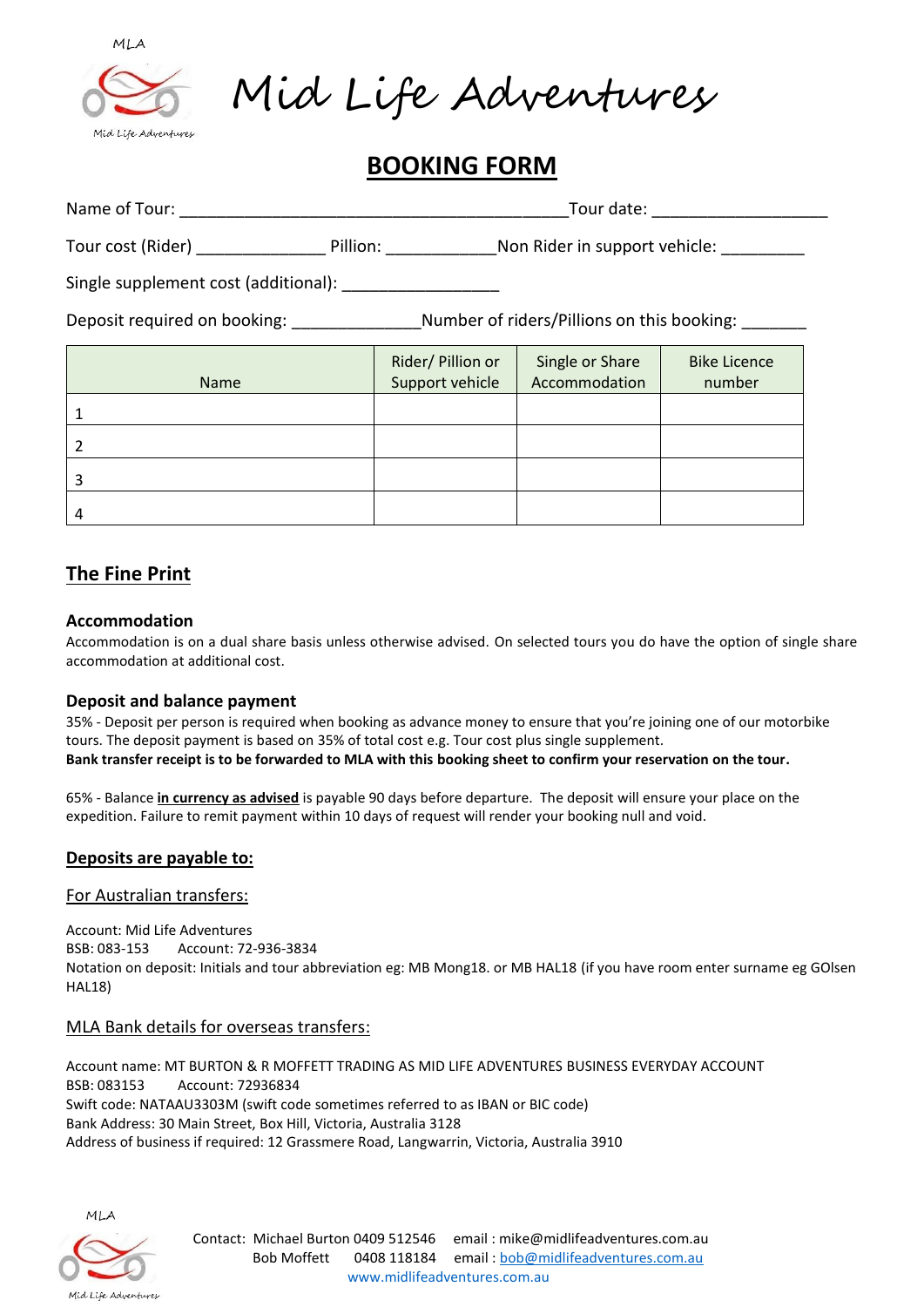

Mid Life Adventures

# **BOOKING FORM**

| Name of Tour:                                                              | Tour date: |                                      |                                  |                               |
|----------------------------------------------------------------------------|------------|--------------------------------------|----------------------------------|-------------------------------|
| Tour cost (Rider)                                                          |            | Pillion: <b>Example</b>              | Non Rider in support vehicle:    |                               |
| Single supplement cost (additional):                                       |            |                                      |                                  |                               |
| Number of riders/Pillions on this booking:<br>Deposit required on booking: |            |                                      |                                  |                               |
| <b>Name</b>                                                                |            | Rider/ Pillion or<br>Support vehicle | Single or Share<br>Accommodation | <b>Bike Licence</b><br>number |
|                                                                            |            |                                      |                                  |                               |

# **The Fine Print**

#### **Accommodation**

Accommodation is on a dual share basis unless otherwise advised. On selected tours you do have the option of single share accommodation at additional cost.

#### **Deposit and balance payment**

35% - Deposit per person is required when booking as advance money to ensure that you're joining one of our motorbike tours. The deposit payment is based on 35% of total cost e.g. Tour cost plus single supplement. **Bank transfer receipt is to be forwarded to MLA with this booking sheet to confirm your reservation on the tour.**

65% - Balance **in currency as advised** is payable 90 days before departure. The deposit will ensure your place on the expedition. Failure to remit payment within 10 days of request will render your booking null and void.

## **Deposits are payable to:**

#### For Australian transfers:

Account: Mid Life Adventures BSB: 083-153 Account: 72-936-3834 Notation on deposit: Initials and tour abbreviation eg: MB Mong18. or MB HAL18 (if you have room enter surname eg GOlsen HAL18)

#### MLA Bank details for overseas transfers:

Account name: MT BURTON & R MOFFETT TRADING AS MID LIFE ADVENTURES BUSINESS EVERYDAY ACCOUNT BSB: 083153 Account: 72936834 Swift code: NATAAU3303M (swift code sometimes referred to as IBAN or BIC code) Bank Address: 30 Main Street, Box Hill, Victoria, Australia 3128 Address of business if required: 12 Grassmere Road, Langwarrin, Victoria, Australia 3910



Mid Life Adventures

Contact: Michael Burton 0409 512546 email : mike@midlifeadventures.com.au Bob Moffett 0408 118184 email : [bob@midlifeadventures.com.au](mailto:bob@midlifeadventures.com.au) www.midlifeadventures.com.au